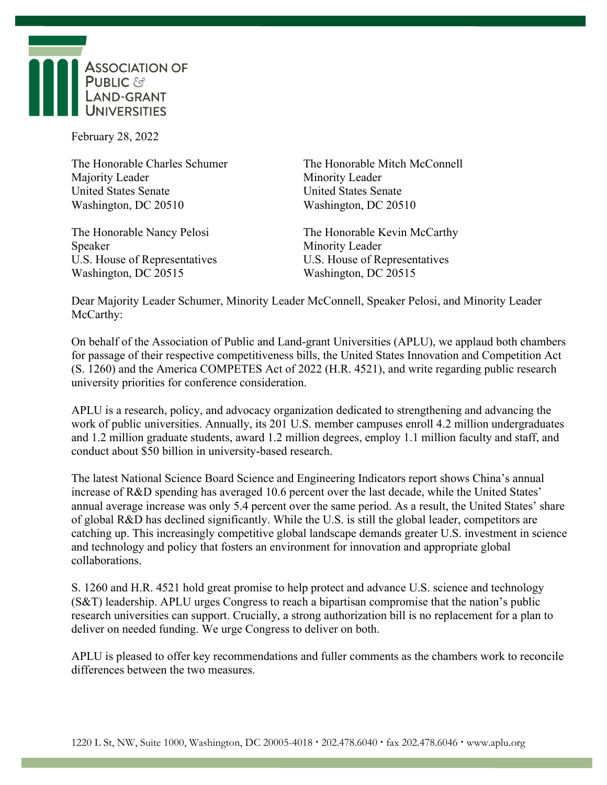

February 28, 2022

Majority Leader Minority Leader United States Senate United States Senate Washington, DC 20510 Washington, DC 20510

Speaker Minority Leader Washington, DC 20515 Washington, DC 20515

The Honorable Charles Schumer The Honorable Mitch McConnell

The Honorable Nancy Pelosi The Honorable Kevin McCarthy U.S. House of Representatives U.S. House of Representatives

Dear Majority Leader Schumer, Minority Leader McConnell, Speaker Pelosi, and Minority Leader McCarthy:

On behalf of the Association of Public and Land-grant Universities (APLU), we applaud both chambers for passage of their respective competitiveness bills, the United States Innovation and Competition Act (S. 1260) and the America COMPETES Act of 2022 (H.R. 4521), and write regarding public research university priorities for conference consideration.

APLU is a research, policy, and advocacy organization dedicated to strengthening and advancing the work of public universities. Annually, its 201 U.S. member campuses enroll 4.2 million undergraduates and 1.2 million graduate students, award 1.2 million degrees, employ 1.1 million faculty and staff, and conduct about \$50 billion in university-based research.

The latest National Science Board Science and Engineering Indicators report shows China's annual increase of R&D spending has averaged 10.6 percent over the last decade, while the United States' annual average increase was only 5.4 percent over the same period. As a result, the United States' share of global R&D has declined significantly. While the U.S. is still the global leader, competitors are catching up. This increasingly competitive global landscape demands greater U.S. investment in science and technology and policy that fosters an environment for innovation and appropriate global collaborations.

S. 1260 and H.R. 4521 hold great promise to help protect and advance U.S. science and technology (S&T) leadership. APLU urges Congress to reach a bipartisan compromise that the nation's public research universities can support. Crucially, a strong authorization bill is no replacement for a plan to deliver on needed funding. We urge Congress to deliver on both.

APLU is pleased to offer key recommendations and fuller comments as the chambers work to reconcile differences between the two measures.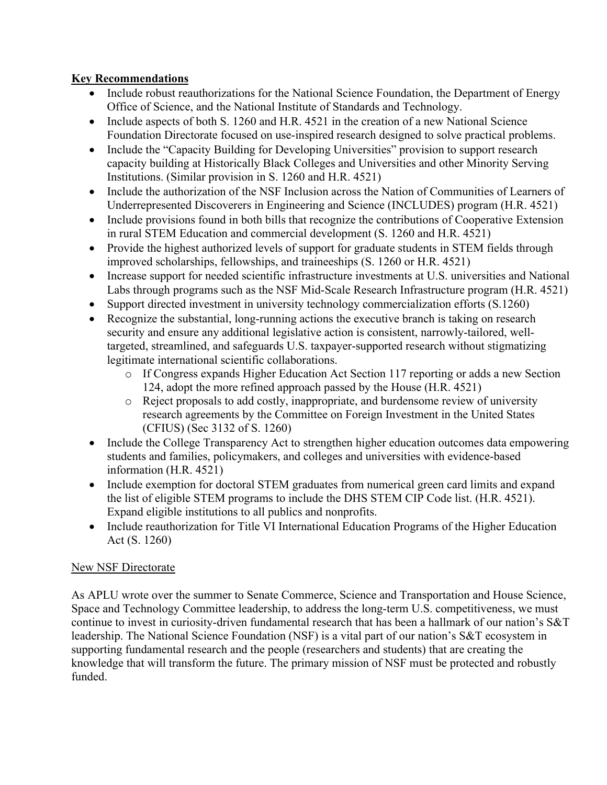# **Key Recommendations**

- Include robust reauthorizations for the National Science Foundation, the Department of Energy Office of Science, and the National Institute of Standards and Technology.
- Include aspects of both S. 1260 and H.R. 4521 in the creation of a new National Science Foundation Directorate focused on use-inspired research designed to solve practical problems.
- Include the "Capacity Building for Developing Universities" provision to support research capacity building at Historically Black Colleges and Universities and other Minority Serving Institutions. (Similar provision in S. 1260 and H.R. 4521)
- Include the authorization of the NSF Inclusion across the Nation of Communities of Learners of Underrepresented Discoverers in Engineering and Science (INCLUDES) program (H.R. 4521)
- Include provisions found in both bills that recognize the contributions of Cooperative Extension in rural STEM Education and commercial development (S. 1260 and H.R. 4521)
- Provide the highest authorized levels of support for graduate students in STEM fields through improved scholarships, fellowships, and traineeships (S. 1260 or H.R. 4521)
- Increase support for needed scientific infrastructure investments at U.S. universities and National Labs through programs such as the NSF Mid-Scale Research Infrastructure program (H.R. 4521)
- Support directed investment in university technology commercialization efforts (S.1260)
- Recognize the substantial, long-running actions the executive branch is taking on research security and ensure any additional legislative action is consistent, narrowly-tailored, welltargeted, streamlined, and safeguards U.S. taxpayer-supported research without stigmatizing legitimate international scientific collaborations.
	- o If Congress expands Higher Education Act Section 117 reporting or adds a new Section 124, adopt the more refined approach passed by the House (H.R. 4521)
	- o Reject proposals to add costly, inappropriate, and burdensome review of university research agreements by the Committee on Foreign Investment in the United States (CFIUS) (Sec 3132 of S. 1260)
- Include the College Transparency Act to strengthen higher education outcomes data empowering students and families, policymakers, and colleges and universities with evidence-based information (H.R. 4521)
- Include exemption for doctoral STEM graduates from numerical green card limits and expand the list of eligible STEM programs to include the DHS STEM CIP Code list. (H.R. 4521). Expand eligible institutions to all publics and nonprofits.
- Include reauthorization for Title VI International Education Programs of the Higher Education Act (S. 1260)

# New NSF Directorate

As APLU wrote over the summer to Senate Commerce, Science and Transportation and House Science, Space and Technology Committee leadership, to address the long-term U.S. competitiveness, we must continue to invest in curiosity-driven fundamental research that has been a hallmark of our nation's S&T leadership. The National Science Foundation (NSF) is a vital part of our nation's S&T ecosystem in supporting fundamental research and the people (researchers and students) that are creating the knowledge that will transform the future. The primary mission of NSF must be protected and robustly funded.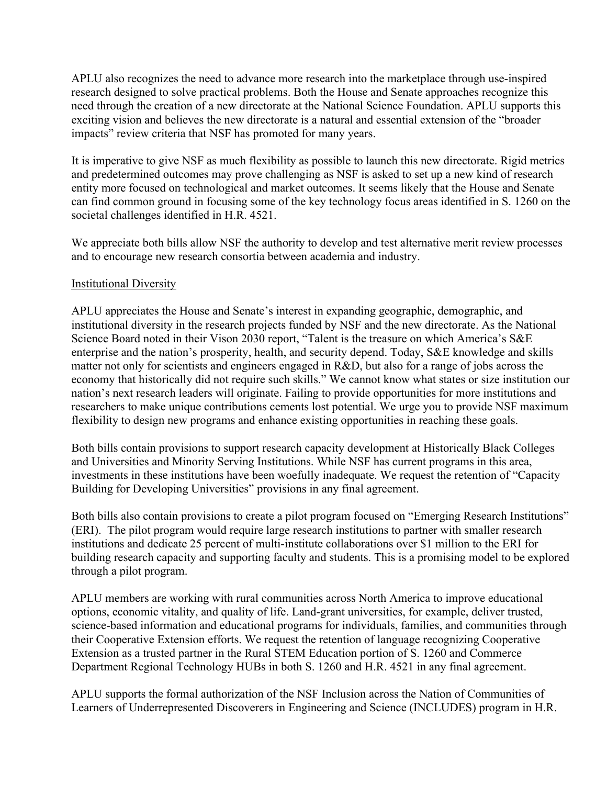APLU also recognizes the need to advance more research into the marketplace through use-inspired research designed to solve practical problems. Both the House and Senate approaches recognize this need through the creation of a new directorate at the National Science Foundation. APLU supports this exciting vision and believes the new directorate is a natural and essential extension of the "broader impacts" review criteria that NSF has promoted for many years.

It is imperative to give NSF as much flexibility as possible to launch this new directorate. Rigid metrics and predetermined outcomes may prove challenging as NSF is asked to set up a new kind of research entity more focused on technological and market outcomes. It seems likely that the House and Senate can find common ground in focusing some of the key technology focus areas identified in S. 1260 on the societal challenges identified in H.R. 4521.

We appreciate both bills allow NSF the authority to develop and test alternative merit review processes and to encourage new research consortia between academia and industry.

## Institutional Diversity

APLU appreciates the House and Senate's interest in expanding geographic, demographic, and institutional diversity in the research projects funded by NSF and the new directorate. As the National Science Board noted in their Vison 2030 report, "Talent is the treasure on which America's S&E enterprise and the nation's prosperity, health, and security depend. Today, S&E knowledge and skills matter not only for scientists and engineers engaged in R&D, but also for a range of jobs across the economy that historically did not require such skills." We cannot know what states or size institution our nation's next research leaders will originate. Failing to provide opportunities for more institutions and researchers to make unique contributions cements lost potential. We urge you to provide NSF maximum flexibility to design new programs and enhance existing opportunities in reaching these goals.

Both bills contain provisions to support research capacity development at Historically Black Colleges and Universities and Minority Serving Institutions. While NSF has current programs in this area, investments in these institutions have been woefully inadequate. We request the retention of "Capacity Building for Developing Universities" provisions in any final agreement.

Both bills also contain provisions to create a pilot program focused on "Emerging Research Institutions" (ERI). The pilot program would require large research institutions to partner with smaller research institutions and dedicate 25 percent of multi-institute collaborations over \$1 million to the ERI for building research capacity and supporting faculty and students. This is a promising model to be explored through a pilot program.

APLU members are working with rural communities across North America to improve educational options, economic vitality, and quality of life. Land-grant universities, for example, deliver trusted, science-based information and educational programs for individuals, families, and communities through their Cooperative Extension efforts. We request the retention of language recognizing Cooperative Extension as a trusted partner in the Rural STEM Education portion of S. 1260 and Commerce Department Regional Technology HUBs in both S. 1260 and H.R. 4521 in any final agreement.

APLU supports the formal authorization of the NSF Inclusion across the Nation of Communities of Learners of Underrepresented Discoverers in Engineering and Science (INCLUDES) program in H.R.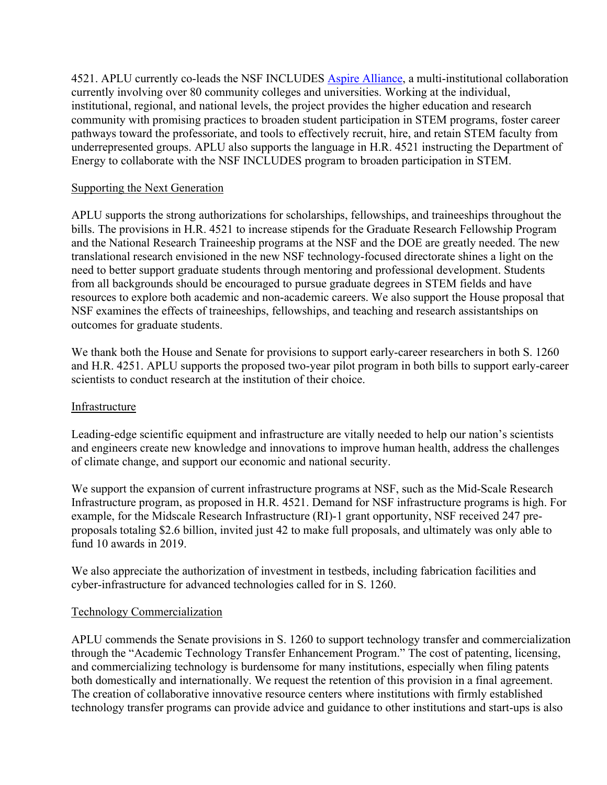4521. APLU currently co-leads the NSF INCLUDES **Aspire Alliance**, a multi-institutional collaboration currently involving over 80 community colleges and universities. Working at the individual, institutional, regional, and national levels, the project provides the higher education and research community with promising practices to broaden student participation in STEM programs, foster career pathways toward the professoriate, and tools to effectively recruit, hire, and retain STEM faculty from underrepresented groups. APLU also supports the language in H.R. 4521 instructing the Department of Energy to collaborate with the NSF INCLUDES program to broaden participation in STEM.

## Supporting the Next Generation

APLU supports the strong authorizations for scholarships, fellowships, and traineeships throughout the bills. The provisions in H.R. 4521 to increase stipends for the Graduate Research Fellowship Program and the National Research Traineeship programs at the NSF and the DOE are greatly needed. The new translational research envisioned in the new NSF technology-focused directorate shines a light on the need to better support graduate students through mentoring and professional development. Students from all backgrounds should be encouraged to pursue graduate degrees in STEM fields and have resources to explore both academic and non-academic careers. We also support the House proposal that NSF examines the effects of traineeships, fellowships, and teaching and research assistantships on outcomes for graduate students.

We thank both the House and Senate for provisions to support early-career researchers in both S. 1260 and H.R. 4251. APLU supports the proposed two-year pilot program in both bills to support early-career scientists to conduct research at the institution of their choice.

# Infrastructure

Leading-edge scientific equipment and infrastructure are vitally needed to help our nation's scientists and engineers create new knowledge and innovations to improve human health, address the challenges of climate change, and support our economic and national security.

We support the expansion of current infrastructure programs at NSF, such as the Mid-Scale Research Infrastructure program, as proposed in H.R. 4521. Demand for NSF infrastructure programs is high. For example, for the Midscale Research Infrastructure (RI)-1 grant opportunity, NSF received 247 preproposals totaling \$2.6 billion, invited just 42 to make full proposals, and ultimately was only able to fund 10 awards in 2019.

We also appreciate the authorization of investment in testbeds, including fabrication facilities and cyber-infrastructure for advanced technologies called for in S. 1260.

#### Technology Commercialization

APLU commends the Senate provisions in S. 1260 to support technology transfer and commercialization through the "Academic Technology Transfer Enhancement Program." The cost of patenting, licensing, and commercializing technology is burdensome for many institutions, especially when filing patents both domestically and internationally. We request the retention of this provision in a final agreement. The creation of collaborative innovative resource centers where institutions with firmly established technology transfer programs can provide advice and guidance to other institutions and start-ups is also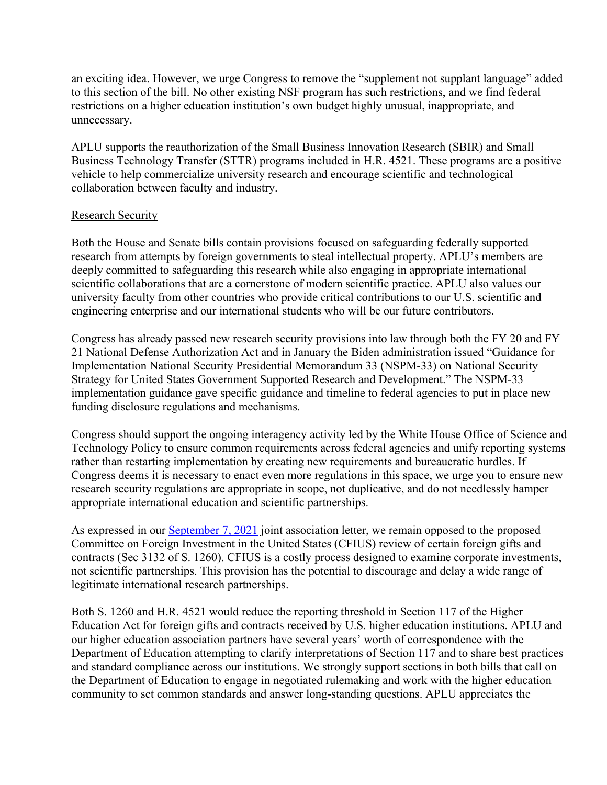an exciting idea. However, we urge Congress to remove the "supplement not supplant language" added to this section of the bill. No other existing NSF program has such restrictions, and we find federal restrictions on a higher education institution's own budget highly unusual, inappropriate, and unnecessary.

APLU supports the reauthorization of the Small Business Innovation Research (SBIR) and Small Business Technology Transfer (STTR) programs included in H.R. 4521. These programs are a positive vehicle to help commercialize university research and encourage scientific and technological collaboration between faculty and industry.

## **Research Security**

Both the House and Senate bills contain provisions focused on safeguarding federally supported research from attempts by foreign governments to steal intellectual property. APLU's members are deeply committed to safeguarding this research while also engaging in appropriate international scientific collaborations that are a cornerstone of modern scientific practice. APLU also values our university faculty from other countries who provide critical contributions to our U.S. scientific and engineering enterprise and our international students who will be our future contributors.

Congress has already passed new research security provisions into law through both the FY 20 and FY 21 National Defense Authorization Act and in January the Biden administration issued "Guidance for Implementation National Security Presidential Memorandum 33 (NSPM-33) on National Security Strategy for United States Government Supported Research and Development." The NSPM-33 implementation guidance gave specific guidance and timeline to federal agencies to put in place new funding disclosure regulations and mechanisms.

Congress should support the ongoing interagency activity led by the White House Office of Science and Technology Policy to ensure common requirements across federal agencies and unify reporting systems rather than restarting implementation by creating new requirements and bureaucratic hurdles. If Congress deems it is necessary to enact even more regulations in this space, we urge you to ensure new research security regulations are appropriate in scope, not duplicative, and do not needlessly hamper appropriate international education and scientific partnerships.

As expressed in our [September 7, 2021](https://www.aplu.org/members/councils/governmental-affairs/CGA-library/joint-association-usica-research-security-conference-letter/file) joint association letter, we remain opposed to the proposed Committee on Foreign Investment in the United States (CFIUS) review of certain foreign gifts and contracts (Sec 3132 of S. 1260). CFIUS is a costly process designed to examine corporate investments, not scientific partnerships. This provision has the potential to discourage and delay a wide range of legitimate international research partnerships.

Both S. 1260 and H.R. 4521 would reduce the reporting threshold in Section 117 of the Higher Education Act for foreign gifts and contracts received by U.S. higher education institutions. APLU and our higher education association partners have several years' worth of correspondence with the Department of Education attempting to clarify interpretations of Section 117 and to share best practices and standard compliance across our institutions. We strongly support sections in both bills that call on the Department of Education to engage in negotiated rulemaking and work with the higher education community to set common standards and answer long-standing questions. APLU appreciates the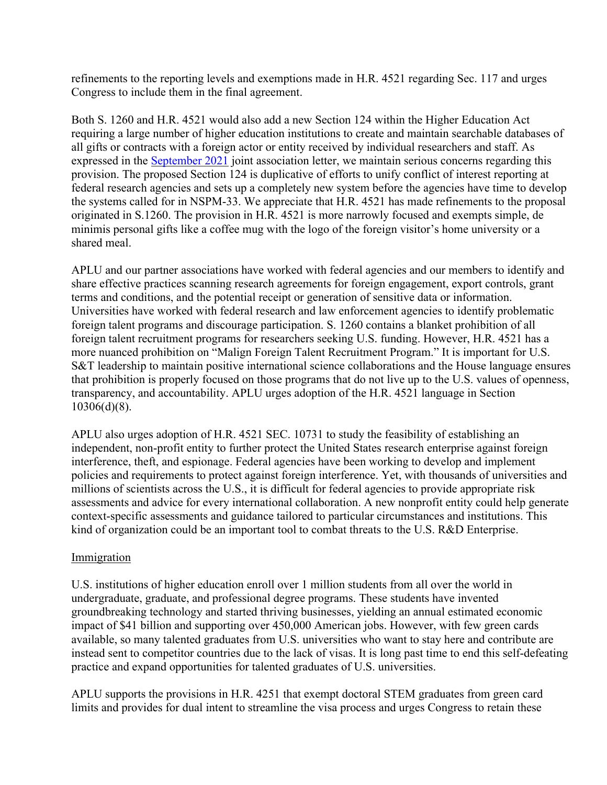refinements to the reporting levels and exemptions made in H.R. 4521 regarding Sec. 117 and urges Congress to include them in the final agreement.

Both S. 1260 and H.R. 4521 would also add a new Section 124 within the Higher Education Act requiring a large number of higher education institutions to create and maintain searchable databases of all gifts or contracts with a foreign actor or entity received by individual researchers and staff. As expressed in the [September 2021](https://www.aplu.org/members/councils/governmental-affairs/CGA-library/joint-association-usica-research-security-conference-letter/file) joint association letter, we maintain serious concerns regarding this provision. The proposed Section 124 is duplicative of efforts to unify conflict of interest reporting at federal research agencies and sets up a completely new system before the agencies have time to develop the systems called for in NSPM-33. We appreciate that H.R. 4521 has made refinements to the proposal originated in S.1260. The provision in H.R. 4521 is more narrowly focused and exempts simple, de minimis personal gifts like a coffee mug with the logo of the foreign visitor's home university or a shared meal.

APLU and our partner associations have worked with federal agencies and our members to identify and share effective practices scanning research agreements for foreign engagement, export controls, grant terms and conditions, and the potential receipt or generation of sensitive data or information. Universities have worked with federal research and law enforcement agencies to identify problematic foreign talent programs and discourage participation. S. 1260 contains a blanket prohibition of all foreign talent recruitment programs for researchers seeking U.S. funding. However, H.R. 4521 has a more nuanced prohibition on "Malign Foreign Talent Recruitment Program." It is important for U.S. S&T leadership to maintain positive international science collaborations and the House language ensures that prohibition is properly focused on those programs that do not live up to the U.S. values of openness, transparency, and accountability. APLU urges adoption of the H.R. 4521 language in Section 10306(d)(8).

APLU also urges adoption of H.R. 4521 SEC. 10731 to study the feasibility of establishing an independent, non-profit entity to further protect the United States research enterprise against foreign interference, theft, and espionage. Federal agencies have been working to develop and implement policies and requirements to protect against foreign interference. Yet, with thousands of universities and millions of scientists across the U.S., it is difficult for federal agencies to provide appropriate risk assessments and advice for every international collaboration. A new nonprofit entity could help generate context-specific assessments and guidance tailored to particular circumstances and institutions. This kind of organization could be an important tool to combat threats to the U.S. R&D Enterprise.

# Immigration

U.S. institutions of higher education enroll over 1 million students from all over the world in undergraduate, graduate, and professional degree programs. These students have invented groundbreaking technology and started thriving businesses, yielding an annual estimated economic impact of \$41 billion and supporting over 450,000 American jobs. However, with few green cards available, so many talented graduates from U.S. universities who want to stay here and contribute are instead sent to competitor countries due to the lack of visas. It is long past time to end this self-defeating practice and expand opportunities for talented graduates of U.S. universities.

APLU supports the provisions in H.R. 4251 that exempt doctoral STEM graduates from green card limits and provides for dual intent to streamline the visa process and urges Congress to retain these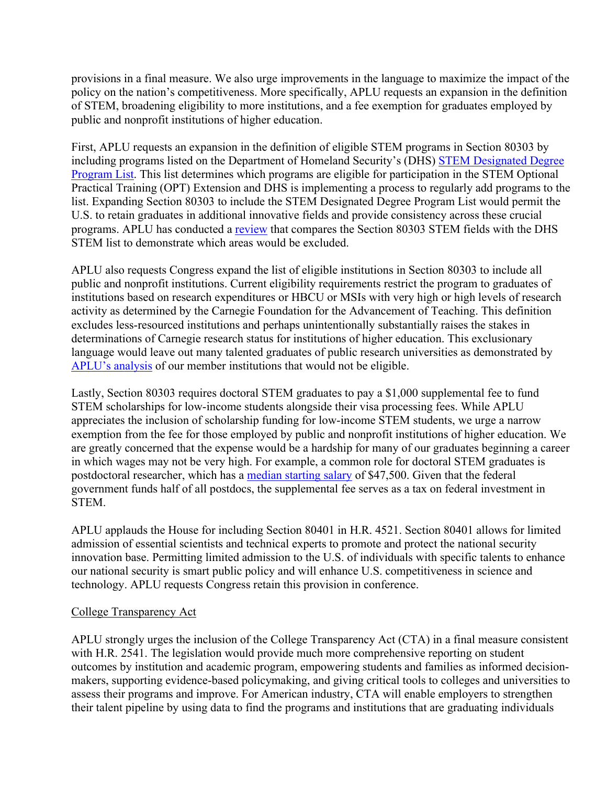provisions in a final measure. We also urge improvements in the language to maximize the impact of the policy on the nation's competitiveness. More specifically, APLU requests an expansion in the definition of STEM, broadening eligibility to more institutions, and a fee exemption for graduates employed by public and nonprofit institutions of higher education.

First, APLU requests an expansion in the definition of eligible STEM programs in Section 80303 by including programs listed on the Department of Homeland Security's (DHS) [STEM Designated Degree](https://www.ice.gov/doclib/sevis/pdf/stemList2022.pdf)  [Program List.](https://www.ice.gov/doclib/sevis/pdf/stemList2022.pdf) This list determines which programs are eligible for participation in the STEM Optional Practical Training (OPT) Extension and DHS is implementing a process to regularly add programs to the list. Expanding Section 80303 to include the STEM Designated Degree Program List would permit the U.S. to retain graduates in additional innovative fields and provide consistency across these crucial programs. APLU has conducted a [review](https://www.aplu.org/members/councils/governmental-affairs/cga-miscellaneous-documents/DHS-STEM-and-COMPETES-80303-List.pdf) that compares the Section 80303 STEM fields with the DHS STEM list to demonstrate which areas would be excluded.

APLU also requests Congress expand the list of eligible institutions in Section 80303 to include all public and nonprofit institutions. Current eligibility requirements restrict the program to graduates of institutions based on research expenditures or HBCU or MSIs with very high or high levels of research activity as determined by the Carnegie Foundation for the Advancement of Teaching. This definition excludes less-resourced institutions and perhaps unintentionally substantially raises the stakes in determinations of Carnegie research status for institutions of higher education. This exclusionary language would leave out many talented graduates of public research universities as demonstrated by [APLU's analysis](https://www.aplu.org/members/councils/governmental-affairs/cga-miscellaneous-documents/Qualified-Research-Institutions-COMPETES.pdf) of our member institutions that would not be eligible.

Lastly, Section 80303 requires doctoral STEM graduates to pay a \$1,000 supplemental fee to fund STEM scholarships for low-income students alongside their visa processing fees. While APLU appreciates the inclusion of scholarship funding for low-income STEM students, we urge a narrow exemption from the fee for those employed by public and nonprofit institutions of higher education. We are greatly concerned that the expense would be a hardship for many of our graduates beginning a career in which wages may not be very high. For example, a common role for doctoral STEM graduates is postdoctoral researcher, which has a [median starting salary](https://www.emerald.com/insight/content/doi/10.1108/SGPE-D-17-00048/full/pdf) of \$47,500. Given that the federal government funds half of all postdocs, the supplemental fee serves as a tax on federal investment in STEM.

APLU applauds the House for including Section 80401 in H.R. 4521. Section 80401 allows for limited admission of essential scientists and technical experts to promote and protect the national security innovation base. Permitting limited admission to the U.S. of individuals with specific talents to enhance our national security is smart public policy and will enhance U.S. competitiveness in science and technology. APLU requests Congress retain this provision in conference.

#### College Transparency Act

APLU strongly urges the inclusion of the College Transparency Act (CTA) in a final measure consistent with H.R. 2541. The legislation would provide much more comprehensive reporting on student outcomes by institution and academic program, empowering students and families as informed decisionmakers, supporting evidence-based policymaking, and giving critical tools to colleges and universities to assess their programs and improve. For American industry, CTA will enable employers to strengthen their talent pipeline by using data to find the programs and institutions that are graduating individuals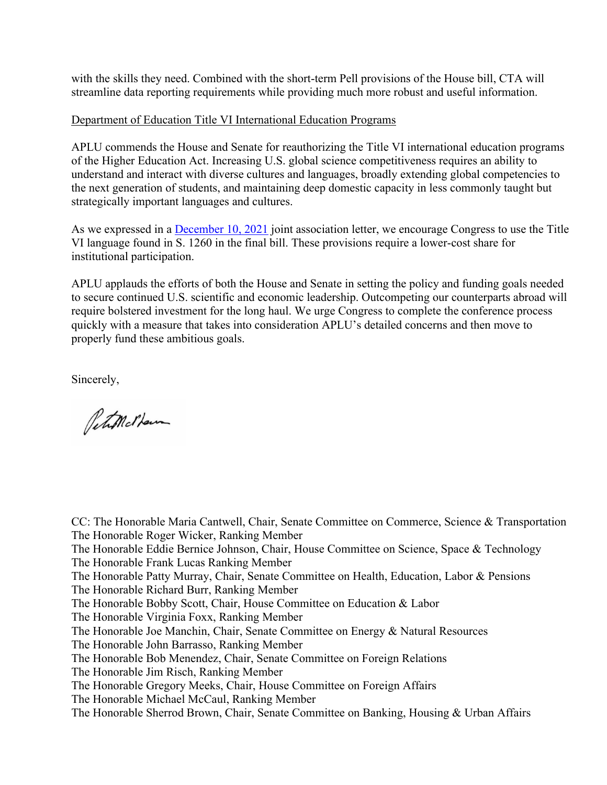with the skills they need. Combined with the short-term Pell provisions of the House bill, CTA will streamline data reporting requirements while providing much more robust and useful information.

## Department of Education Title VI International Education Programs

APLU commends the House and Senate for reauthorizing the Title VI international education programs of the Higher Education Act. Increasing U.S. global science competitiveness requires an ability to understand and interact with diverse cultures and languages, broadly extending global competencies to the next generation of students, and maintaining deep domestic capacity in less commonly taught but strategically important languages and cultures.

As we expressed in a [December 10, 2021](https://www.aplu.org/members/councils/governmental-affairs/CGA-library/hea-title-vi-letter-to-house-leaders/file) joint association letter, we encourage Congress to use the Title VI language found in S. 1260 in the final bill. These provisions require a lower-cost share for institutional participation.

APLU applauds the efforts of both the House and Senate in setting the policy and funding goals needed to secure continued U.S. scientific and economic leadership. Outcompeting our counterparts abroad will require bolstered investment for the long haul. We urge Congress to complete the conference process quickly with a measure that takes into consideration APLU's detailed concerns and then move to properly fund these ambitious goals.

Sincerely,

Petiple Plan

CC: The Honorable Maria Cantwell, Chair, Senate Committee on Commerce, Science & Transportation The Honorable Roger Wicker, Ranking Member The Honorable Eddie Bernice Johnson, Chair, House Committee on Science, Space & Technology The Honorable Frank Lucas Ranking Member The Honorable Patty Murray, Chair, Senate Committee on Health, Education, Labor & Pensions The Honorable Richard Burr, Ranking Member The Honorable Bobby Scott, Chair, House Committee on Education & Labor The Honorable Virginia Foxx, Ranking Member The Honorable Joe Manchin, Chair, Senate Committee on Energy & Natural Resources The Honorable John Barrasso, Ranking Member The Honorable Bob Menendez, Chair, Senate Committee on Foreign Relations The Honorable Jim Risch, Ranking Member The Honorable Gregory Meeks, Chair, House Committee on Foreign Affairs The Honorable Michael McCaul, Ranking Member The Honorable Sherrod Brown, Chair, Senate Committee on Banking, Housing & Urban Affairs